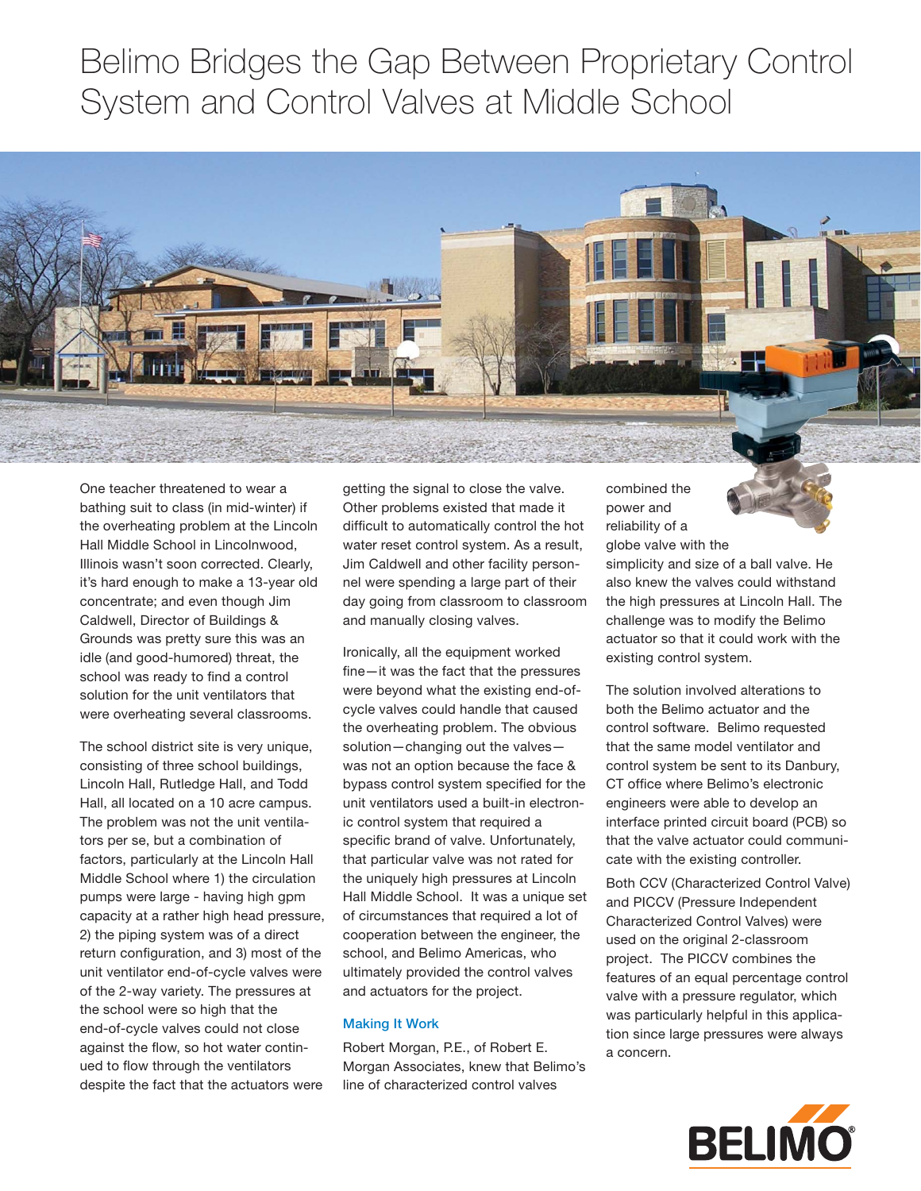## Belimo Bridges the Gap Between Proprietary Control System and Control Valves at Middle School



One teacher threatened to wear a bathing suit to class (in mid-winter) if the overheating problem at the Lincoln Hall Middle School in Lincolnwood, Illinois wasn't soon corrected. Clearly, it's hard enough to make a 13-year old concentrate; and even though Jim Caldwell, Director of Buildings & Grounds was pretty sure this was an idle (and good-humored) threat, the school was ready to find a control solution for the unit ventilators that were overheating several classrooms.

The school district site is very unique, consisting of three school buildings, Lincoln Hall, Rutledge Hall, and Todd Hall, all located on a 10 acre campus. The problem was not the unit ventilators per se, but a combination of factors, particularly at the Lincoln Hall Middle School where 1) the circulation pumps were large - having high gpm capacity at a rather high head pressure, 2) the piping system was of a direct return configuration, and 3) most of the unit ventilator end-of-cycle valves were of the 2-way variety. The pressures at the school were so high that the end-of-cycle valves could not close against the flow, so hot water continued to flow through the ventilators despite the fact that the actuators were

getting the signal to close the valve. Other problems existed that made it difficult to automatically control the hot water reset control system. As a result, Jim Caldwell and other facility personnel were spending a large part of their day going from classroom to classroom and manually closing valves.

Ironically, all the equipment worked  $fine$ —it was the fact that the pressures were beyond what the existing end-ofcycle valves could handle that caused the overheating problem. The obvious solution—changing out the valves was not an option because the face & bypass control system specified for the unit ventilators used a built-in electronic control system that required a specific brand of valve. Unfortunately, that particular valve was not rated for the uniquely high pressures at Lincoln Hall Middle School. It was a unique set of circumstances that required a lot of cooperation between the engineer, the school, and Belimo Americas, who ultimately provided the control valves and actuators for the project.

## **Making It Work**

Robert Morgan, P.E., of Robert E. Morgan Associates, knew that Belimo's line of characterized control valves

combined the power and reliability of a globe valve with the



simplicity and size of a ball valve. He also knew the valves could withstand the high pressures at Lincoln Hall. The challenge was to modify the Belimo actuator so that it could work with the existing control system.

The solution involved alterations to both the Belimo actuator and the control software. Belimo requested that the same model ventilator and control system be sent to its Danbury, CT office where Belimo's electronic engineers were able to develop an interface printed circuit board (PCB) so that the valve actuator could communicate with the existing controller.

Both CCV (Characterized Control Valve) and PICCV (Pressure Independent Characterized Control Valves) were used on the original 2-classroom project. The PICCV combines the features of an equal percentage control valve with a pressure regulator, which was particularly helpful in this application since large pressures were always a concern.